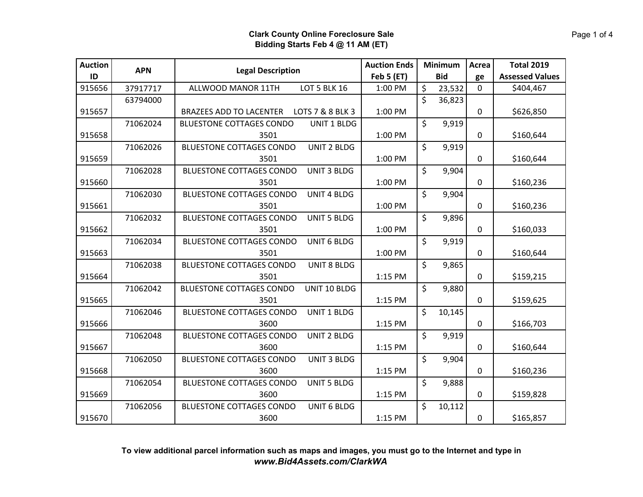| <b>Auction</b> | <b>APN</b> |                                                       | <b>Auction Ends</b> | <b>Minimum</b> |            | Acrea       | <b>Total 2019</b>      |
|----------------|------------|-------------------------------------------------------|---------------------|----------------|------------|-------------|------------------------|
| ID             |            | <b>Legal Description</b>                              | Feb 5 (ET)          |                | <b>Bid</b> | ge          | <b>Assessed Values</b> |
| 915656         | 37917717   | LOT 5 BLK 16<br>ALLWOOD MANOR 11TH                    | 1:00 PM             | \$             | 23,532     | $\mathbf 0$ | \$404,467              |
|                | 63794000   |                                                       |                     | \$             | 36,823     |             |                        |
| 915657         |            | LOTS 7 & 8 BLK 3<br><b>BRAZEES ADD TO LACENTER</b>    | 1:00 PM             |                |            | 0           | \$626,850              |
|                | 71062024   | <b>UNIT 1 BLDG</b><br><b>BLUESTONE COTTAGES CONDO</b> |                     | \$             | 9,919      |             |                        |
| 915658         |            | 3501                                                  | 1:00 PM             |                |            | 0           | \$160,644              |
|                | 71062026   | UNIT 2 BLDG<br><b>BLUESTONE COTTAGES CONDO</b>        |                     | \$             | 9,919      |             |                        |
| 915659         |            | 3501                                                  | 1:00 PM             |                |            | 0           | \$160,644              |
|                | 71062028   | <b>UNIT 3 BLDG</b><br><b>BLUESTONE COTTAGES CONDO</b> |                     | \$             | 9,904      |             |                        |
| 915660         |            | 3501                                                  | 1:00 PM             |                |            | 0           | \$160,236              |
|                | 71062030   | <b>UNIT 4 BLDG</b><br><b>BLUESTONE COTTAGES CONDO</b> |                     | \$             | 9,904      |             |                        |
| 915661         |            | 3501                                                  | 1:00 PM             |                |            | 0           | \$160,236              |
|                | 71062032   | <b>BLUESTONE COTTAGES CONDO</b><br><b>UNIT 5 BLDG</b> |                     | \$             | 9,896      |             |                        |
| 915662         |            | 3501                                                  | 1:00 PM             |                |            | 0           | \$160,033              |
|                | 71062034   | UNIT 6 BLDG<br><b>BLUESTONE COTTAGES CONDO</b>        |                     | \$             | 9,919      |             |                        |
| 915663         |            | 3501                                                  | 1:00 PM             |                |            | 0           | \$160,644              |
|                | 71062038   | <b>BLUESTONE COTTAGES CONDO</b><br><b>UNIT 8 BLDG</b> |                     | $\zeta$        | 9,865      |             |                        |
| 915664         |            | 3501                                                  | 1:15 PM             |                |            | 0           | \$159,215              |
|                | 71062042   | UNIT 10 BLDG<br><b>BLUESTONE COTTAGES CONDO</b>       |                     | \$             | 9,880      |             |                        |
| 915665         |            | 3501                                                  | 1:15 PM             |                |            | 0           | \$159,625              |
|                | 71062046   | UNIT 1 BLDG<br><b>BLUESTONE COTTAGES CONDO</b>        |                     | \$             | 10,145     |             |                        |
| 915666         |            | 3600                                                  | 1:15 PM             |                |            | 0           | \$166,703              |
|                | 71062048   | <b>UNIT 2 BLDG</b><br><b>BLUESTONE COTTAGES CONDO</b> |                     | \$             | 9,919      |             |                        |
| 915667         |            | 3600                                                  | 1:15 PM             |                |            | 0           | \$160,644              |
|                | 71062050   | <b>BLUESTONE COTTAGES CONDO</b><br><b>UNIT 3 BLDG</b> |                     | \$             | 9,904      |             |                        |
| 915668         |            | 3600                                                  | 1:15 PM             |                |            | 0           | \$160,236              |
|                | 71062054   | <b>BLUESTONE COTTAGES CONDO</b><br><b>UNIT 5 BLDG</b> |                     | \$             | 9,888      |             |                        |
| 915669         |            | 3600                                                  | 1:15 PM             |                |            | 0           | \$159,828              |
|                | 71062056   | UNIT 6 BLDG<br><b>BLUESTONE COTTAGES CONDO</b>        |                     | \$             | 10,112     |             |                        |
| 915670         |            | 3600                                                  | 1:15 PM             |                |            | 0           | \$165,857              |

**To view additional parcel information such as maps and images, you must go to the Internet and type in** *www.Bid4Assets.com/ClarkWA*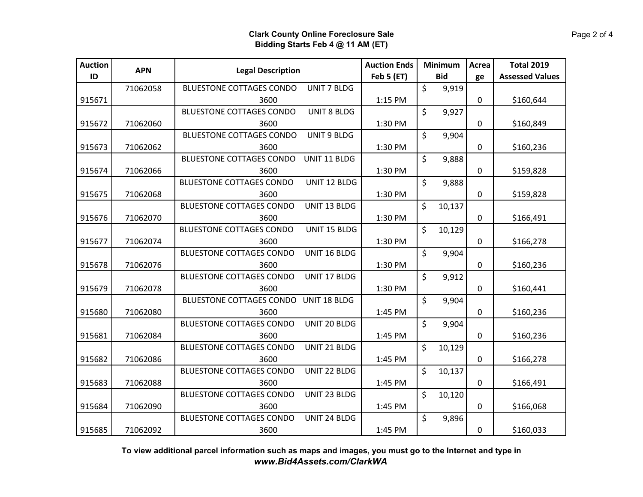| <b>Auction</b> | <b>APN</b> | <b>Legal Description</b>                              | <b>Auction Ends</b> | <b>Minimum</b>   | Acrea       | <b>Total 2019</b>      |
|----------------|------------|-------------------------------------------------------|---------------------|------------------|-------------|------------------------|
| ID             |            |                                                       | <b>Feb 5 (ET)</b>   | <b>Bid</b>       | ge          | <b>Assessed Values</b> |
|                | 71062058   | <b>BLUESTONE COTTAGES CONDO</b><br><b>UNIT 7 BLDG</b> |                     | \$<br>9,919      |             |                        |
| 915671         |            | 3600                                                  | 1:15 PM             |                  | 0           | \$160,644              |
|                |            | <b>BLUESTONE COTTAGES CONDO</b><br><b>UNIT 8 BLDG</b> |                     | \$<br>9,927      |             |                        |
| 915672         | 71062060   | 3600                                                  | 1:30 PM             |                  | 0           | \$160,849              |
|                |            | UNIT 9 BLDG<br><b>BLUESTONE COTTAGES CONDO</b>        |                     | $\zeta$<br>9,904 |             |                        |
| 915673         | 71062062   | 3600                                                  | 1:30 PM             |                  | 0           | \$160,236              |
|                |            | UNIT 11 BLDG<br><b>BLUESTONE COTTAGES CONDO</b>       |                     | \$<br>9,888      |             |                        |
| 915674         | 71062066   | 3600                                                  | 1:30 PM             |                  | 0           | \$159,828              |
|                |            | UNIT 12 BLDG<br><b>BLUESTONE COTTAGES CONDO</b>       |                     | \$<br>9,888      |             |                        |
| 915675         | 71062068   | 3600                                                  | 1:30 PM             |                  | 0           | \$159,828              |
|                |            | UNIT 13 BLDG<br><b>BLUESTONE COTTAGES CONDO</b>       |                     | \$<br>10,137     |             |                        |
| 915676         | 71062070   | 3600                                                  | 1:30 PM             |                  | 0           | \$166,491              |
|                |            | UNIT 15 BLDG<br><b>BLUESTONE COTTAGES CONDO</b>       |                     | \$<br>10,129     |             |                        |
| 915677         | 71062074   | 3600                                                  | 1:30 PM             |                  | 0           | \$166,278              |
|                |            | <b>BLUESTONE COTTAGES CONDO</b><br>UNIT 16 BLDG       |                     | \$<br>9,904      |             |                        |
| 915678         | 71062076   | 3600                                                  | 1:30 PM             |                  | 0           | \$160,236              |
|                |            | UNIT 17 BLDG<br><b>BLUESTONE COTTAGES CONDO</b>       |                     | $\zeta$<br>9,912 |             |                        |
| 915679         | 71062078   | 3600                                                  | 1:30 PM             |                  | 0           | \$160,441              |
|                |            | <b>BLUESTONE COTTAGES CONDO</b><br>UNIT 18 BLDG       |                     | \$<br>9,904      |             |                        |
| 915680         | 71062080   | 3600                                                  | 1:45 PM             |                  | 0           | \$160,236              |
|                |            | UNIT 20 BLDG<br><b>BLUESTONE COTTAGES CONDO</b>       |                     | \$<br>9,904      |             |                        |
| 915681         | 71062084   | 3600                                                  | 1:45 PM             |                  | 0           | \$160,236              |
|                |            | UNIT 21 BLDG<br><b>BLUESTONE COTTAGES CONDO</b>       |                     | \$<br>10,129     |             |                        |
| 915682         | 71062086   | 3600                                                  | 1:45 PM             |                  | 0           | \$166,278              |
|                |            | <b>BLUESTONE COTTAGES CONDO</b><br>UNIT 22 BLDG       |                     | \$<br>10,137     |             |                        |
| 915683         | 71062088   | 3600                                                  | 1:45 PM             |                  | $\mathbf 0$ | \$166,491              |
|                |            | UNIT 23 BLDG<br><b>BLUESTONE COTTAGES CONDO</b>       |                     | \$<br>10,120     |             |                        |
| 915684         | 71062090   | 3600                                                  | 1:45 PM             |                  | 0           | \$166,068              |
|                |            | UNIT 24 BLDG<br><b>BLUESTONE COTTAGES CONDO</b>       |                     | $\zeta$<br>9,896 |             |                        |
| 915685         | 71062092   | 3600                                                  | 1:45 PM             |                  | 0           | \$160,033              |

**To view additional parcel information such as maps and images, you must go to the Internet and type in** *www.Bid4Assets.com/ClarkWA*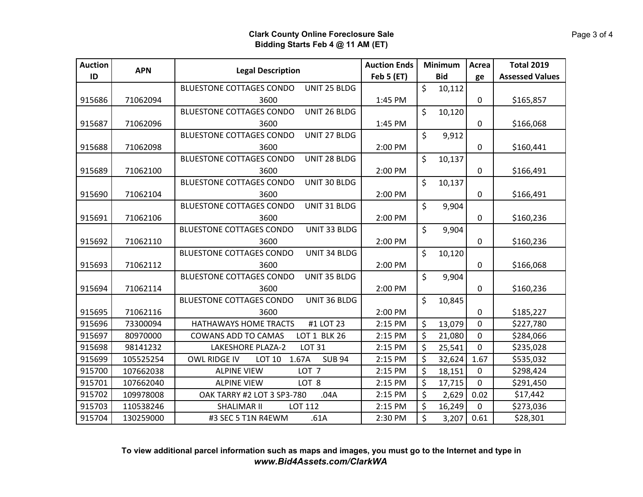| <b>Auction</b> | <b>APN</b> | <b>Legal Description</b>                                | <b>Auction Ends</b> |         | <b>Minimum</b> | Acrea            | <b>Total 2019</b>      |
|----------------|------------|---------------------------------------------------------|---------------------|---------|----------------|------------------|------------------------|
| ID             |            |                                                         | <b>Feb 5 (ET)</b>   |         | <b>Bid</b>     | ge               | <b>Assessed Values</b> |
|                |            | UNIT 25 BLDG<br><b>BLUESTONE COTTAGES CONDO</b>         |                     | \$      | 10,112         |                  |                        |
| 915686         | 71062094   | 3600                                                    | 1:45 PM             |         |                | 0                | \$165,857              |
|                |            | <b>BLUESTONE COTTAGES CONDO</b><br>UNIT 26 BLDG         |                     | \$      | 10,120         |                  |                        |
| 915687         | 71062096   | 3600                                                    | 1:45 PM             |         |                | 0                | \$166,068              |
|                |            | UNIT 27 BLDG<br><b>BLUESTONE COTTAGES CONDO</b>         |                     | \$      | 9,912          |                  |                        |
| 915688         | 71062098   | 3600                                                    | 2:00 PM             |         |                | 0                | \$160,441              |
|                |            | <b>BLUESTONE COTTAGES CONDO</b><br>UNIT 28 BLDG         |                     | $\zeta$ | 10,137         |                  |                        |
| 915689         | 71062100   | 3600                                                    | 2:00 PM             |         |                | 0                | \$166,491              |
|                |            | UNIT 30 BLDG<br><b>BLUESTONE COTTAGES CONDO</b>         |                     | \$      | 10,137         |                  |                        |
| 915690         | 71062104   | 3600                                                    | 2:00 PM             |         |                | 0                | \$166,491              |
|                |            | UNIT 31 BLDG<br><b>BLUESTONE COTTAGES CONDO</b>         |                     | \$      | 9,904          |                  |                        |
| 915691         | 71062106   | 3600                                                    | 2:00 PM             |         |                | 0                | \$160,236              |
|                |            | UNIT 33 BLDG<br><b>BLUESTONE COTTAGES CONDO</b>         |                     | \$      | 9,904          |                  |                        |
| 915692         | 71062110   | 3600                                                    | 2:00 PM             |         |                | 0                | \$160,236              |
|                |            | UNIT 34 BLDG<br><b>BLUESTONE COTTAGES CONDO</b>         |                     | \$      | 10,120         |                  |                        |
| 915693         | 71062112   | 3600                                                    | 2:00 PM             |         |                | 0                | \$166,068              |
|                |            | UNIT 35 BLDG<br><b>BLUESTONE COTTAGES CONDO</b>         |                     | \$      | 9,904          |                  |                        |
| 915694         | 71062114   | 3600                                                    | 2:00 PM             |         |                | 0                | \$160,236              |
|                |            | <b>BLUESTONE COTTAGES CONDO</b><br>UNIT 36 BLDG         |                     | \$      | 10,845         |                  |                        |
| 915695         | 71062116   | 3600                                                    | 2:00 PM             |         |                | 0                | \$185,227              |
| 915696         | 73300094   | #1 LOT 23<br>HATHAWAYS HOME TRACTS                      | 2:15 PM             | \$      | 13,079         | 0                | \$227,780              |
| 915697         | 80970000   | LOT 1 BLK 26<br><b>COWANS ADD TO CAMAS</b>              | 2:15 PM             | \$      | 21,080         | 0                | \$284,066              |
| 915698         | 98141232   | LAKESHORE PLAZA-2<br><b>LOT 31</b>                      | 2:15 PM             | \$      | 25,541         | 0                | \$235,028              |
| 915699         | 105525254  | 1.67A<br><b>SUB 94</b><br>OWL RIDGE IV<br><b>LOT 10</b> | 2:15 PM             | \$      | 32,624         | 1.67             | \$535,032              |
| 915700         | 107662038  | LOT <sub>7</sub><br><b>ALPINE VIEW</b>                  | 2:15 PM             | \$      | 18,151         | $\boldsymbol{0}$ | \$298,424              |
| 915701         | 107662040  | <b>ALPINE VIEW</b><br>LOT <sub>8</sub>                  | 2:15 PM             | \$      | 17,715         | 0                | \$291,450              |
| 915702         | 109978008  | OAK TARRY #2 LOT 3 SP3-780<br>.04A                      | 2:15 PM             | \$      | 2,629          | 0.02             | \$17,442               |
| 915703         | 110538246  | LOT 112<br><b>SHALIMAR II</b>                           | 2:15 PM             | \$      | 16,249         | $\mathbf 0$      | \$273,036              |
| 915704         | 130259000  | #3 SEC 5 T1N R4EWM<br>.61A                              | 2:30 PM             | \$      | 3,207          | 0.61             | \$28,301               |

**To view additional parcel information such as maps and images, you must go to the Internet and type in** *www.Bid4Assets.com/ClarkWA*